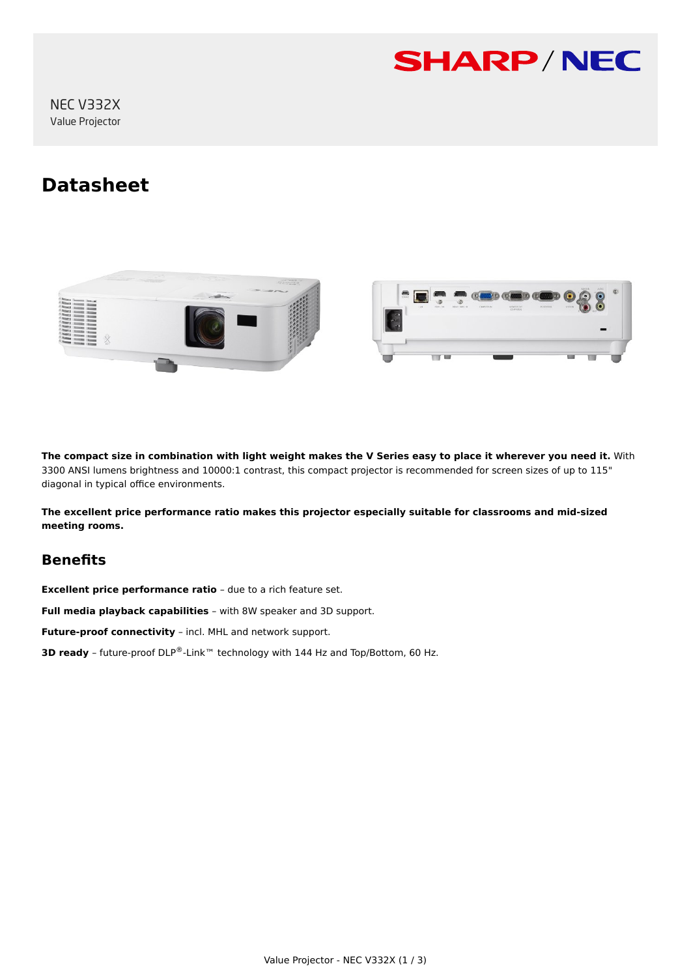

NEC V332X Value Projector

# **Datasheet**





**The compact size in combination with light weight makes the V Series easy to place it wherever you need it.** With 3300 ANSI lumens brightness and 10000:1 contrast, this compact projector is recommended for screen sizes of up to 115" diagonal in typical office environments.

**The excellent price performance ratio makes this projector especially suitable for classrooms and mid-sized meeting rooms.**

# **Benefits**

**Excellent price performance ratio** – due to a rich feature set.

**Full media playback capabilities** – with 8W speaker and 3D support.

**Future-proof connectivity** – incl. MHL and network support.

**3D ready** – future-proof DLP®-Link™ technology with 144 Hz and Top/Bottom, 60 Hz.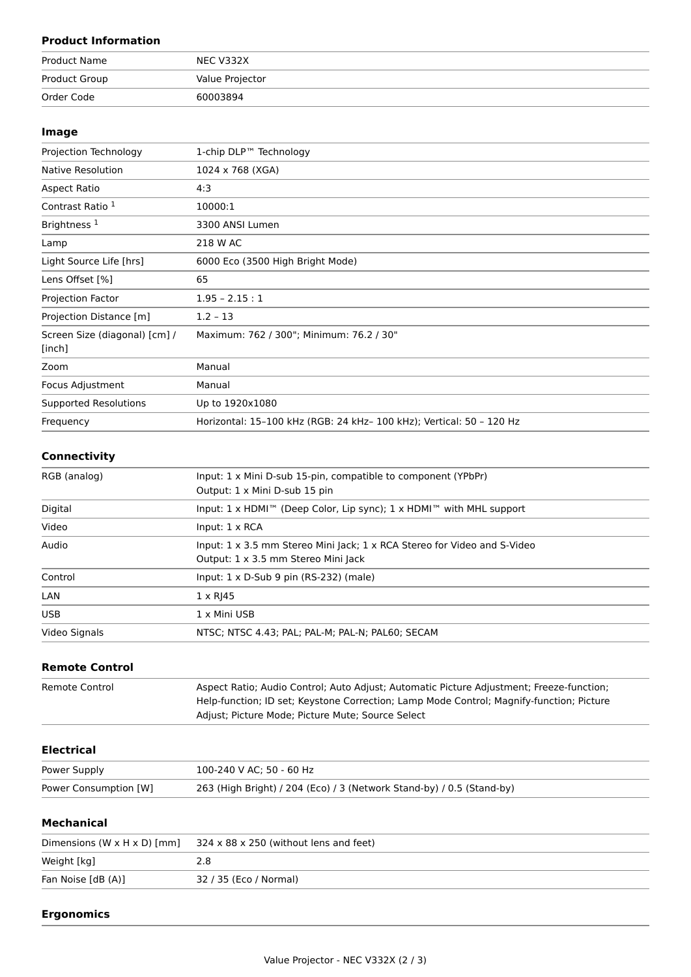# **Product Information**

| Product Name  | NEC V332X       |
|---------------|-----------------|
| Product Group | Value Projector |
| Order Code    | 60003894        |

#### **Image**

| Projection Technology                   | 1-chip DLP™ Technology                                               |
|-----------------------------------------|----------------------------------------------------------------------|
| <b>Native Resolution</b>                | 1024 x 768 (XGA)                                                     |
| Aspect Ratio                            | 4:3                                                                  |
| Contrast Ratio 1                        | 10000:1                                                              |
| Brightness <sup>1</sup>                 | 3300 ANSI Lumen                                                      |
| Lamp                                    | 218 W AC                                                             |
| Light Source Life [hrs]                 | 6000 Eco (3500 High Bright Mode)                                     |
| Lens Offset [%]                         | 65                                                                   |
| Projection Factor                       | $1.95 - 2.15 : 1$                                                    |
| Projection Distance [m]                 | $1.2 - 13$                                                           |
| Screen Size (diagonal) [cm] /<br>[inch] | Maximum: 762 / 300"; Minimum: 76.2 / 30"                             |
| Zoom                                    | Manual                                                               |
| Focus Adjustment                        | Manual                                                               |
| <b>Supported Resolutions</b>            | Up to 1920x1080                                                      |
| Frequency                               | Horizontal: 15-100 kHz (RGB: 24 kHz- 100 kHz); Vertical: 50 - 120 Hz |

### **Connectivity**

| RGB (analog)  | Input: 1 x Mini D-sub 15-pin, compatible to component (YPbPr)<br>Output: 1 x Mini D-sub 15 pin                                |  |
|---------------|-------------------------------------------------------------------------------------------------------------------------------|--|
| Digital       | Input: 1 x HDMI™ (Deep Color, Lip sync); 1 x HDMI™ with MHL support                                                           |  |
| Video         | Input: $1 \times RCA$                                                                                                         |  |
| Audio         | Input: $1 \times 3.5$ mm Stereo Mini Jack; $1 \times$ RCA Stereo for Video and S-Video<br>Output: 1 x 3.5 mm Stereo Mini Jack |  |
| Control       | Input: $1 \times D$ -Sub 9 pin (RS-232) (male)                                                                                |  |
| LAN           | $1 \times R$  45                                                                                                              |  |
| <b>USB</b>    | 1 x Mini USB                                                                                                                  |  |
| Video Signals | NTSC: NTSC 4.43: PAL: PAL-M: PAL-N: PAL60: SECAM                                                                              |  |

#### **Remote Control**

| Remote Control | Aspect Ratio; Audio Control; Auto Adjust; Automatic Picture Adjustment; Freeze-function; |
|----------------|------------------------------------------------------------------------------------------|
|                | Help-function; ID set; Keystone Correction; Lamp Mode Control; Magnify-function; Picture |
|                | Adjust; Picture Mode; Picture Mute; Source Select                                        |

#### **Electrical**

| Power Supply          | 100-240 V AC: 50 - 60 Hz                                              |
|-----------------------|-----------------------------------------------------------------------|
| Power Consumption [W] | 263 (High Bright) / 204 (Eco) / 3 (Network Stand-by) / 0.5 (Stand-by) |

## **Mechanical**

| Dimensions (W $\times$ H $\times$ D) [mm] | $324 \times 88 \times 250$ (without lens and feet) |
|-------------------------------------------|----------------------------------------------------|
| Weight [kg]                               |                                                    |
| Fan Noise [dB (A)]                        | 32 / 35 (Eco / Normal)                             |

#### **Ergonomics**